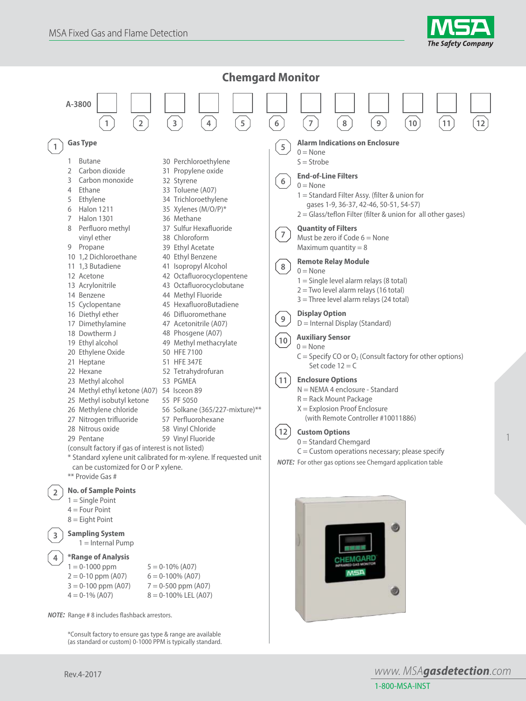



\*Consult factory to ensure gas type & range are available (as standard or custom) 0-1000 PPM is typically standard.

*www. MSAgasdetection.com* 1-800-MSA-INST

1